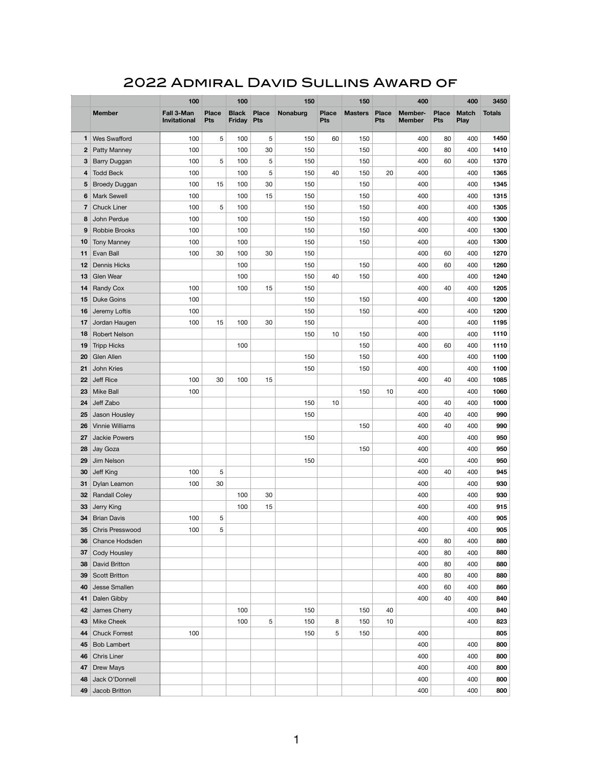## 2022 Admiral David Sullins Award of

|             |                                    | 100                               |                     | 100                        |              | 150             |                            | 150            |                            | 400                             |                            | 400                         | 3450          |
|-------------|------------------------------------|-----------------------------------|---------------------|----------------------------|--------------|-----------------|----------------------------|----------------|----------------------------|---------------------------------|----------------------------|-----------------------------|---------------|
|             | <b>Member</b>                      | Fall 3-Man<br><b>Invitational</b> | <b>Place</b><br>Pts | <b>Black</b><br>Friday Pts | <b>Place</b> | <b>Nonaburg</b> | <b>Place</b><br><b>Pts</b> | <b>Masters</b> | <b>Place</b><br><b>Pts</b> | <b>Member-</b><br><b>Member</b> | <b>Place</b><br><b>Pts</b> | <b>Match</b><br><b>Play</b> | <b>Totals</b> |
| 1           | <b>Wes Swafford</b>                | 100                               | 5                   | 100                        | 5            | 150             | 60                         | 150            |                            | 400                             | 80                         | 400                         | 1450          |
| $\mathbf 2$ | Patty Manney                       | 100                               |                     | 100                        | 30           | 150             |                            | 150            |                            | 400                             | 80                         | 400                         | 1410          |
| 3           | Barry Duggan                       | 100                               | 5                   | 100                        | 5            | 150             |                            | 150            |                            | 400                             | 60                         | 400                         | 1370          |
| 4           | <b>Todd Beck</b>                   | 100                               |                     | 100                        | 5            | 150             | 40                         | 150            | 20                         | 400                             |                            | 400                         | 1365          |
| 5           | <b>Broedy Duggan</b>               | 100                               | 15                  | 100                        | 30           | 150             |                            | 150            |                            | 400                             |                            | 400                         | 1345          |
| 6           | <b>Mark Sewell</b>                 | 100                               |                     | 100                        | 15           | 150             |                            | 150            |                            | 400                             |                            | 400                         | 1315          |
| 7           | <b>Chuck Liner</b>                 | 100                               | 5                   | 100                        |              | 150             |                            | 150            |                            | 400                             |                            | 400                         | 1305          |
| 8           | John Perdue                        | 100                               |                     | 100                        |              | 150             |                            | 150            |                            | 400                             |                            | 400                         | 1300          |
| 9           | Robbie Brooks                      | 100                               |                     | 100                        |              | 150             |                            | 150            |                            | 400                             |                            | 400                         | 1300          |
| 10          | <b>Tony Manney</b>                 | 100                               |                     | 100                        |              | 150             |                            | 150            |                            | 400                             |                            | 400                         | 1300          |
| 11          | Evan Ball                          | 100                               | 30                  | 100                        | 30           | 150             |                            |                |                            | 400                             | 60                         | 400                         | 1270          |
| 12          | <b>Dennis Hicks</b>                |                                   |                     | 100                        |              | 150             |                            | 150            |                            | 400                             | 60                         | 400                         | 1260          |
| 13          | Glen Wear                          |                                   |                     | 100                        |              | 150             | 40                         | 150            |                            | 400                             |                            | 400                         | 1240          |
| 14          | <b>Randy Cox</b>                   | 100                               |                     | 100                        | 15           | 150             |                            |                |                            | 400                             | 40                         | 400                         | 1205          |
| 15          | <b>Duke Goins</b>                  | 100                               |                     |                            |              | 150             |                            | 150            |                            | 400                             |                            | 400                         | 1200          |
| 16          | Jeremy Loftis                      | 100                               |                     |                            |              | 150             |                            | 150            |                            | 400                             |                            | 400                         | 1200          |
| 17          | Jordan Haugen                      | 100                               | 15                  | 100                        | 30           | 150             |                            |                |                            | 400                             |                            | 400                         | 1195          |
| 18          | <b>Robert Nelson</b>               |                                   |                     |                            |              | 150             | 10                         | 150            |                            | 400                             |                            | 400                         | 1110          |
| 19          | <b>Tripp Hicks</b>                 |                                   |                     | 100                        |              |                 |                            | 150            |                            | 400                             | 60                         | 400                         | 1110          |
| 20          | <b>Glen Allen</b>                  |                                   |                     |                            |              | 150             |                            | 150            |                            | 400                             |                            | 400                         | 1100          |
| 21          | John Kries                         |                                   |                     |                            |              | 150             |                            | 150            |                            | 400                             |                            | 400                         | 1100          |
| 22          | Jeff Rice                          | 100                               | 30                  | 100                        | 15           |                 |                            |                |                            | 400                             | 40                         | 400                         | 1085          |
| 23          | <b>Mike Ball</b>                   | 100                               |                     |                            |              |                 |                            | 150            | 10                         | 400                             |                            | 400                         | 1060          |
| 24          | Jeff Zabo                          |                                   |                     |                            |              | 150             | 10                         |                |                            | 400                             | 40                         | 400                         | 1000          |
| 25          | Jason Housley                      |                                   |                     |                            |              | 150             |                            |                |                            | 400                             | 40                         | 400                         | 990           |
| 26          | <b>Vinnie Williams</b>             |                                   |                     |                            |              |                 |                            | 150            |                            | 400                             | 40                         | 400                         | 990           |
| 27          | <b>Jackie Powers</b>               |                                   |                     |                            |              | 150             |                            |                |                            | 400                             |                            | 400                         | 950           |
| 28          | Jay Goza                           |                                   |                     |                            |              |                 |                            | 150            |                            | 400                             |                            | 400                         | 950           |
| 29          | Jim Nelson                         |                                   |                     |                            |              | 150             |                            |                |                            | 400                             |                            | 400                         | 950           |
| 30          | Jeff King                          | 100<br>100                        | 5<br>30             |                            |              |                 |                            |                |                            | 400<br>400                      | 40                         | 400                         | 945<br>930    |
| 31          | Dylan Leamon                       |                                   |                     | 100                        | 30           |                 |                            |                |                            | 400                             |                            | 400<br>400                  | 930           |
| 32<br>33    | <b>Randall Coley</b><br>Jerry King |                                   |                     | 100                        | 15           |                 |                            |                |                            | 400                             |                            | 400                         | 915           |
| 34          | <b>Brian Davis</b>                 | 100                               | 5                   |                            |              |                 |                            |                |                            | 400                             |                            | 400                         | 905           |
| 35          | <b>Chris Presswood</b>             | 100                               | 5                   |                            |              |                 |                            |                |                            | 400                             |                            | 400                         | 905           |
| 36          | Chance Hodsden                     |                                   |                     |                            |              |                 |                            |                |                            | 400                             | 80                         | 400                         | 880           |
| 37          | <b>Cody Housley</b>                |                                   |                     |                            |              |                 |                            |                |                            | 400                             | 80                         | 400                         | 880           |
| 38          | <b>David Britton</b>               |                                   |                     |                            |              |                 |                            |                |                            | 400                             | 80                         | 400                         | 880           |
| 39          | <b>Scott Britton</b>               |                                   |                     |                            |              |                 |                            |                |                            | 400                             | 80                         | 400                         | 880           |
| 40          | Jesse Smallen                      |                                   |                     |                            |              |                 |                            |                |                            | 400                             | 60                         | 400                         | 860           |
| 41          | Dalen Gibby                        |                                   |                     |                            |              |                 |                            |                |                            | 400                             | 40                         | 400                         | 840           |
| 42          | James Cherry                       |                                   |                     | 100                        |              | 150             |                            | 150            | 40                         |                                 |                            | 400                         | 840           |
| 43          | <b>Mike Cheek</b>                  |                                   |                     | 100                        | 5            | 150             | 8                          | 150            | 10                         |                                 |                            | 400                         | 823           |
| 44          | <b>Chuck Forrest</b>               | 100                               |                     |                            |              | 150             | 5                          | 150            |                            | 400                             |                            |                             | 805           |
| 45          | <b>Bob Lambert</b>                 |                                   |                     |                            |              |                 |                            |                |                            | 400                             |                            | 400                         | 800           |
| 46          | <b>Chris Liner</b>                 |                                   |                     |                            |              |                 |                            |                |                            | 400                             |                            | 400                         | 800           |
| 47          | Drew Mays                          |                                   |                     |                            |              |                 |                            |                |                            | 400                             |                            | 400                         | 800           |
| 48          | Jack O'Donnell                     |                                   |                     |                            |              |                 |                            |                |                            | 400                             |                            | 400                         | 800           |
| 49          | Jacob Britton                      |                                   |                     |                            |              |                 |                            |                |                            | 400                             |                            | 400                         | 800           |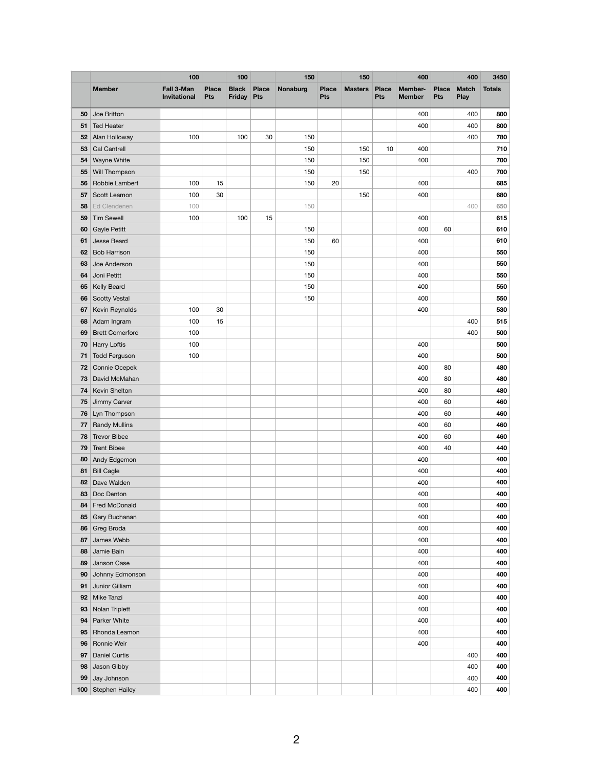|     |                        | 100                               |                     | 100                               |              | 150             |                     | 150            |                     | 400                             |                            | 400                  | 3450          |
|-----|------------------------|-----------------------------------|---------------------|-----------------------------------|--------------|-----------------|---------------------|----------------|---------------------|---------------------------------|----------------------------|----------------------|---------------|
|     | <b>Member</b>          | Fall 3-Man<br><b>Invitational</b> | <b>Place</b><br>Pts | <b>Black</b><br><b>Friday Pts</b> | <b>Place</b> | <b>Nonaburg</b> | <b>Place</b><br>Pts | <b>Masters</b> | <b>Place</b><br>Pts | <b>Member-</b><br><b>Member</b> | <b>Place</b><br><b>Pts</b> | <b>Match</b><br>Play | <b>Totals</b> |
| 50  | Joe Britton            |                                   |                     |                                   |              |                 |                     |                |                     | 400                             |                            | 400                  | 800           |
| 51  | <b>Ted Heater</b>      |                                   |                     |                                   |              |                 |                     |                |                     | 400                             |                            | 400                  | 800           |
| 52  | Alan Holloway          | 100                               |                     | 100                               | 30           | 150             |                     |                |                     |                                 |                            | 400                  | 780           |
| 53  | Cal Cantrell           |                                   |                     |                                   |              | 150             |                     | 150            | 10                  | 400                             |                            |                      | 710           |
| 54  | Wayne White            |                                   |                     |                                   |              | 150             |                     | 150            |                     | 400                             |                            |                      | 700           |
| 55  | Will Thompson          |                                   |                     |                                   |              | 150             |                     | 150            |                     |                                 |                            | 400                  | 700           |
| 56  | Robbie Lambert         | 100                               | 15                  |                                   |              | 150             | 20                  |                |                     | 400                             |                            |                      | 685           |
| 57  | Scott Leamon           | 100                               | 30                  |                                   |              |                 |                     | 150            |                     | 400                             |                            |                      | 680           |
| 58  | Ed Clendenen           | 100                               |                     |                                   |              | 150             |                     |                |                     |                                 |                            | 400                  | 650           |
| 59  | <b>Tim Sewell</b>      | 100                               |                     | 100                               | 15           |                 |                     |                |                     | 400                             |                            |                      | 615           |
| 60  | <b>Gayle Petitt</b>    |                                   |                     |                                   |              | 150             |                     |                |                     | 400                             | 60                         |                      | 610           |
| 61  | Jesse Beard            |                                   |                     |                                   |              | 150             | 60                  |                |                     | 400                             |                            |                      | 610           |
| 62  | <b>Bob Harrison</b>    |                                   |                     |                                   |              | 150             |                     |                |                     | 400                             |                            |                      | 550           |
| 63  | Joe Anderson           |                                   |                     |                                   |              | 150             |                     |                |                     | 400                             |                            |                      | 550           |
| 64  | Joni Petitt            |                                   |                     |                                   |              | 150             |                     |                |                     | 400                             |                            |                      | 550           |
| 65  | Kelly Beard            |                                   |                     |                                   |              | 150             |                     |                |                     | 400                             |                            |                      | 550           |
| 66  | <b>Scotty Vestal</b>   |                                   |                     |                                   |              | 150             |                     |                |                     | 400                             |                            |                      | 550           |
| 67  | Kevin Reynolds         | 100                               | 30                  |                                   |              |                 |                     |                |                     | 400                             |                            |                      | 530           |
| 68  | Adam Ingram            | 100                               | 15                  |                                   |              |                 |                     |                |                     |                                 |                            | 400                  | 515           |
| 69  | <b>Brett Comerford</b> | 100                               |                     |                                   |              |                 |                     |                |                     |                                 |                            | 400                  | 500           |
| 70  | <b>Harry Loftis</b>    | 100                               |                     |                                   |              |                 |                     |                |                     | 400                             |                            |                      | 500           |
| 71  | <b>Todd Ferguson</b>   | 100                               |                     |                                   |              |                 |                     |                |                     | 400                             |                            |                      | 500           |
| 72  | Connie Ocepek          |                                   |                     |                                   |              |                 |                     |                |                     | 400                             | 80                         |                      | 480           |
| 73  | David McMahan          |                                   |                     |                                   |              |                 |                     |                |                     | 400                             | 80                         |                      | 480           |
| 74  | Kevin Shelton          |                                   |                     |                                   |              |                 |                     |                |                     | 400                             | 80                         |                      | 480           |
| 75  | Jimmy Carver           |                                   |                     |                                   |              |                 |                     |                |                     | 400                             | 60                         |                      | 460           |
| 76  | Lyn Thompson           |                                   |                     |                                   |              |                 |                     |                |                     | 400                             | 60                         |                      | 460           |
| 77  | <b>Randy Mullins</b>   |                                   |                     |                                   |              |                 |                     |                |                     | 400                             | 60                         |                      | 460           |
| 78  | <b>Trevor Bibee</b>    |                                   |                     |                                   |              |                 |                     |                |                     | 400                             | 60                         |                      | 460           |
| 79  | <b>Trent Bibee</b>     |                                   |                     |                                   |              |                 |                     |                |                     | 400                             | 40                         |                      | 440           |
| 80  | Andy Edgemon           |                                   |                     |                                   |              |                 |                     |                |                     | 400                             |                            |                      | 400           |
| 81  | <b>Bill Cagle</b>      |                                   |                     |                                   |              |                 |                     |                |                     | 400                             |                            |                      | 400           |
| 82  | Dave Walden            |                                   |                     |                                   |              |                 |                     |                |                     | 400                             |                            |                      | 400           |
| 83  | Doc Denton             |                                   |                     |                                   |              |                 |                     |                |                     | 400                             |                            |                      | 400           |
| 84  | Fred McDonald          |                                   |                     |                                   |              |                 |                     |                |                     | 400                             |                            |                      | 400           |
| 85  | Gary Buchanan          |                                   |                     |                                   |              |                 |                     |                |                     | 400                             |                            |                      | 400           |
| 86  | Greg Broda             |                                   |                     |                                   |              |                 |                     |                |                     | 400                             |                            |                      | 400           |
| 87  | James Webb             |                                   |                     |                                   |              |                 |                     |                |                     | 400                             |                            |                      | 400           |
| 88  | Jamie Bain             |                                   |                     |                                   |              |                 |                     |                |                     | 400                             |                            |                      | 400           |
| 89  | Janson Case            |                                   |                     |                                   |              |                 |                     |                |                     | 400                             |                            |                      | 400           |
| 90  | Johnny Edmonson        |                                   |                     |                                   |              |                 |                     |                |                     | 400                             |                            |                      | 400           |
| 91  | Junior Gilliam         |                                   |                     |                                   |              |                 |                     |                |                     | 400                             |                            |                      | 400           |
| 92  | Mike Tanzi             |                                   |                     |                                   |              |                 |                     |                |                     | 400                             |                            |                      | 400           |
| 93  | Nolan Triplett         |                                   |                     |                                   |              |                 |                     |                |                     | 400                             |                            |                      | 400           |
| 94  | Parker White           |                                   |                     |                                   |              |                 |                     |                |                     | 400                             |                            |                      | 400           |
| 95  | Rhonda Leamon          |                                   |                     |                                   |              |                 |                     |                |                     | 400                             |                            |                      | 400           |
| 96  | Ronnie Weir            |                                   |                     |                                   |              |                 |                     |                |                     | 400                             |                            |                      | 400           |
| 97  | <b>Daniel Curtis</b>   |                                   |                     |                                   |              |                 |                     |                |                     |                                 |                            | 400                  | 400           |
| 98  | Jason Gibby            |                                   |                     |                                   |              |                 |                     |                |                     |                                 |                            | 400                  | 400           |
| 99  | Jay Johnson            |                                   |                     |                                   |              |                 |                     |                |                     |                                 |                            | 400                  | 400           |
| 100 | <b>Stephen Hailey</b>  |                                   |                     |                                   |              |                 |                     |                |                     |                                 |                            | 400                  | 400           |